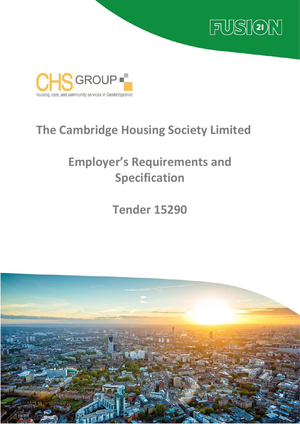



## **The Cambridge Housing Society Limited**

# **Employer's Requirements and Specification**

## **Tender 15290**

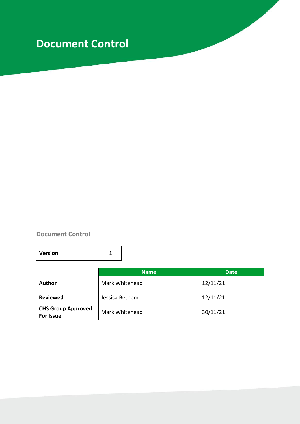## **Document Control**

## **Document Control**

|                                               | <b>Name</b>    | <b>Date</b> |  |
|-----------------------------------------------|----------------|-------------|--|
| <b>Author</b>                                 | Mark Whitehead | 12/11/21    |  |
| <b>Reviewed</b>                               | Jessica Bethom | 12/11/21    |  |
| <b>CHS Group Approved</b><br><b>For Issue</b> | Mark Whitehead | 30/11/21    |  |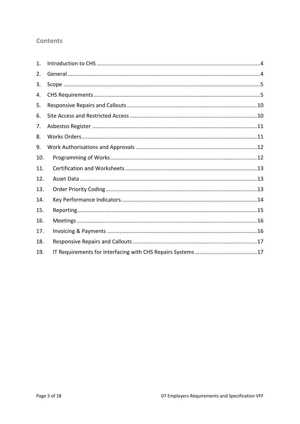## **Contents**

| 1.  |  |
|-----|--|
| 2.  |  |
| 3.  |  |
| 4.  |  |
| 5.  |  |
| 6.  |  |
| 7.  |  |
| 8.  |  |
| 9.  |  |
| 10. |  |
| 11. |  |
| 12. |  |
| 13. |  |
| 14. |  |
| 15. |  |
| 16. |  |
| 17. |  |
| 18. |  |
| 19. |  |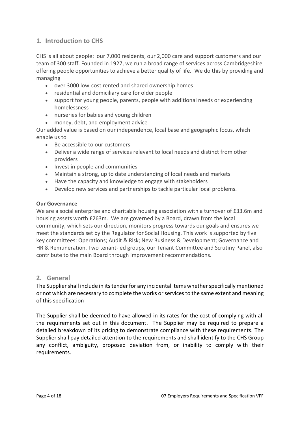## <span id="page-3-0"></span>**1. Introduction to CHS**

CHS is all about people: our 7,000 residents, our 2,000 care and support customers and our team of 300 staff. Founded in 1927, we run a broad range of services across Cambridgeshire offering people opportunities to achieve a better quality of life. We do this by providing and managing

- over 3000 low-cost rented and shared ownership homes
- residential and domiciliary care for older people
- support for young people, parents, people with additional needs or experiencing homelessness
- nurseries for babies and young children
- money, debt, and employment advice

Our added value is based on our independence, local base and geographic focus, which enable us to

- Be accessible to our customers
- Deliver a wide range of services relevant to local needs and distinct from other providers
- Invest in people and communities
- Maintain a strong, up to date understanding of local needs and markets
- Have the capacity and knowledge to engage with stakeholders
- Develop new services and partnerships to tackle particular local problems.

#### **Our Governance**

We are a social enterprise and charitable housing association with a turnover of £33.6m and housing assets worth £263m. We are governed by a Board, drawn from the local community, which sets our direction, monitors progress towards our goals and ensures we meet the standards set by the Regulator for Social Housing. This work is supported by five key committees: Operations; Audit & Risk; New Business & Development; Governance and HR & Remuneration. Two tenant-led groups, our Tenant Committee and Scrutiny Panel, also contribute to the main Board through improvement recommendations.

#### <span id="page-3-1"></span>**2. General**

The Supplier shall include in its tender for any incidental items whether specifically mentioned or not which are necessary to complete the works or services to the same extent and meaning of this specification

The Supplier shall be deemed to have allowed in its rates for the cost of complying with all the requirements set out in this document. The Supplier may be required to prepare a detailed breakdown of its pricing to demonstrate compliance with these requirements. The Supplier shall pay detailed attention to the requirements and shall identify to the CHS Group any conflict, ambiguity, proposed deviation from, or inability to comply with their requirements.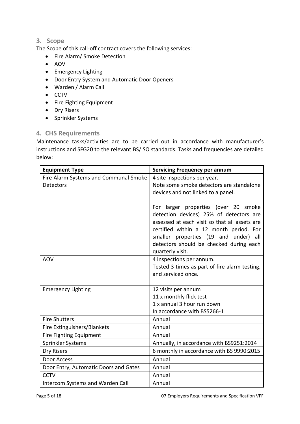## <span id="page-4-0"></span>**3. Scope**

The Scope of this call-off contract covers the following services:

- Fire Alarm/ Smoke Detection
- AOV
- Emergency Lighting
- Door Entry System and Automatic Door Openers
- Warden / Alarm Call
- CCTV
- Fire Fighting Equipment
- Dry Risers
- Sprinkler Systems

#### <span id="page-4-1"></span>**4. CHS Requirements**

Maintenance tasks/activities are to be carried out in accordance with manufacturer's instructions and SFG20 to the relevant BS/ISO standards. Tasks and frequencies are detailed below:

| <b>Equipment Type</b>                 | <b>Servicing Frequency per annum</b>                                                                                                                                                                                                                                                |
|---------------------------------------|-------------------------------------------------------------------------------------------------------------------------------------------------------------------------------------------------------------------------------------------------------------------------------------|
| Fire Alarm Systems and Communal Smoke | 4 site inspections per year.                                                                                                                                                                                                                                                        |
| <b>Detectors</b>                      | Note some smoke detectors are standalone                                                                                                                                                                                                                                            |
|                                       | devices and not linked to a panel.                                                                                                                                                                                                                                                  |
|                                       | For larger properties (over 20 smoke<br>detection devices) 25% of detectors are<br>assessed at each visit so that all assets are<br>certified within a 12 month period. For<br>smaller properties (19 and under) all<br>detectors should be checked during each<br>quarterly visit. |
| <b>AOV</b>                            | 4 inspections per annum.                                                                                                                                                                                                                                                            |
|                                       | Tested 3 times as part of fire alarm testing,                                                                                                                                                                                                                                       |
|                                       | and serviced once.                                                                                                                                                                                                                                                                  |
|                                       |                                                                                                                                                                                                                                                                                     |
| <b>Emergency Lighting</b>             | 12 visits per annum<br>11 x monthly flick test                                                                                                                                                                                                                                      |
|                                       | 1 x annual 3 hour run down                                                                                                                                                                                                                                                          |
|                                       | In accordance with BS5266-1                                                                                                                                                                                                                                                         |
| <b>Fire Shutters</b>                  | Annual                                                                                                                                                                                                                                                                              |
| Fire Extinguishers/Blankets           | Annual                                                                                                                                                                                                                                                                              |
| Fire Fighting Equipment               | Annual                                                                                                                                                                                                                                                                              |
| Sprinkler Systems                     | Annually, in accordance with BS9251:2014                                                                                                                                                                                                                                            |
| Dry Risers                            | 6 monthly in accordance with BS 9990:2015                                                                                                                                                                                                                                           |
| Door Access                           | Annual                                                                                                                                                                                                                                                                              |
| Door Entry, Automatic Doors and Gates | Annual                                                                                                                                                                                                                                                                              |
| <b>CCTV</b>                           | Annual                                                                                                                                                                                                                                                                              |
| Intercom Systems and Warden Call      | Annual                                                                                                                                                                                                                                                                              |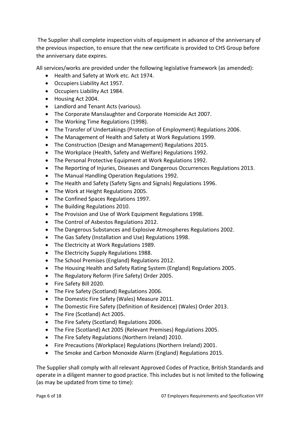The Supplier shall complete inspection visits of equipment in advance of the anniversary of the previous inspection, to ensure that the new certificate is provided to CHS Group before the anniversary date expires.

All services/works are provided under the following legislative framework (as amended):

- Health and Safety at Work etc. Act 1974.
- Occupiers Liability Act 1957.
- Occupiers Liability Act 1984.
- Housing Act 2004.
- Landlord and Tenant Acts (various).
- The Corporate Manslaughter and Corporate Homicide Act 2007.
- The Working Time Regulations (1998).
- The Transfer of Undertakings (Protection of Employment) Regulations 2006.
- The Management of Health and Safety at Work Regulations 1999.
- The Construction (Design and Management) Regulations 2015.
- The Workplace (Health, Safety and Welfare) Regulations 1992.
- The Personal Protective Equipment at Work Regulations 1992.
- The Reporting of Injuries, Diseases and Dangerous Occurrences Regulations 2013.
- The Manual Handling Operation Regulations 1992.
- The Health and Safety (Safety Signs and Signals) Regulations 1996.
- The Work at Height Regulations 2005.
- The Confined Spaces Regulations 1997.
- The Building Regulations 2010.
- The Provision and Use of Work Equipment Regulations 1998.
- The Control of Asbestos Regulations 2012.
- The Dangerous Substances and Explosive Atmospheres Regulations 2002.
- The Gas Safety (Installation and Use) Regulations 1998.
- The Electricity at Work Regulations 1989.
- The Electricity Supply Regulations 1988.
- The School Premises (England) Regulations 2012.
- The Housing Health and Safety Rating System (England) Regulations 2005.
- The Regulatory Reform (Fire Safety) Order 2005.
- Fire Safety Bill 2020.
- The Fire Safety (Scotland) Regulations 2006.
- The Domestic Fire Safety (Wales) Measure 2011.
- The Domestic Fire Safety (Definition of Residence) (Wales) Order 2013.
- The Fire (Scotland) Act 2005.
- The Fire Safety (Scotland) Regulations 2006.
- The Fire (Scotland) Act 2005 (Relevant Premises) Regulations 2005.
- The Fire Safety Regulations (Northern Ireland) 2010.
- Fire Precautions (Workplace) Regulations (Northern Ireland) 2001.
- The Smoke and Carbon Monoxide Alarm (England) Regulations 2015.

The Supplier shall comply with all relevant Approved Codes of Practice, British Standards and operate in a diligent manner to good practice. This includes but is not limited to the following (as may be updated from time to time):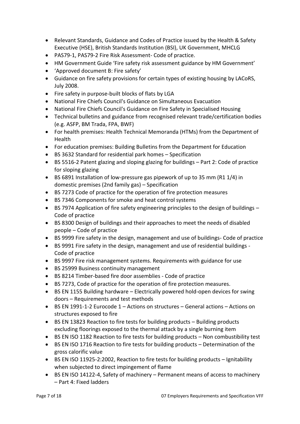- Relevant Standards, Guidance and Codes of Practice issued by the Health & Safety Executive (HSE), British Standards Institution (BSI), UK Government, MHCLG
- PAS79-1, PAS79-2 Fire Risk Assessment- Code of practice.
- HM Government Guide 'Fire safety risk assessment guidance by HM Government'
- 'Approved document B: Fire safety'
- Guidance on fire safety provisions for certain types of existing housing by LACoRS, July 2008.
- Fire safety in purpose-built blocks of flats by LGA
- National Fire Chiefs Council's Guidance on Simultaneous Evacuation
- National Fire Chiefs Council's Guidance on Fire Safety in Specialised Housing
- Technical bulletins and guidance from recognised relevant trade/certification bodies (e.g. ASFP, BM Trada, FPA, BWF)
- For health premises: Health Technical Memoranda (HTMs) from the Department of **Health**
- For education premises: Building Bulletins from the Department for Education
- BS 3632 Standard for residential park homes Specification
- BS 5516-2 Patent glazing and sloping glazing for buildings Part 2: Code of practice for sloping glazing
- BS 6891 Installation of low-pressure gas pipework of up to 35 mm (R1 1/4) in domestic premises (2nd family gas) – Specification
- BS 7273 Code of practice for the operation of fire protection measures
- BS 7346 Components for smoke and heat control systems
- BS 7974 Application of fire safety engineering principles to the design of buildings Code of practice
- BS 8300 Design of buildings and their approaches to meet the needs of disabled people – Code of practice
- BS 9999 Fire safety in the design, management and use of buildings- Code of practice
- BS 9991 Fire safety in the design, management and use of residential buildings Code of practice
- BS 9997 Fire risk management systems. Requirements with guidance for use
- BS 25999 Business continuity management
- BS 8214 Timber-based fire door assemblies Code of practice
- BS 7273, Code of practice for the operation of fire protection measures.
- BS EN 1155 Building hardware Electrically powered hold-open devices for swing doors – Requirements and test methods
- BS EN 1991-1-2 Eurocode 1 Actions on structures General actions Actions on structures exposed to fire
- BS EN 13823 Reaction to fire tests for building products Building products excluding floorings exposed to the thermal attack by a single burning item
- BS EN ISO 1182 Reaction to fire tests for building products Non combustibility test
- BS EN ISO 1716 Reaction to fire tests for building products Determination of the gross calorific value
- BS EN ISO 11925-2:2002, Reaction to fire tests for building products Ignitability when subjected to direct impingement of flame
- BS EN ISO 14122-4, Safety of machinery Permanent means of access to machinery – Part 4: Fixed ladders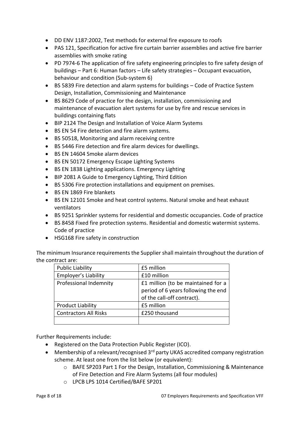- DD ENV 1187:2002, Test methods for external fire exposure to roofs
- PAS 121, Specification for active fire curtain barrier assemblies and active fire barrier assemblies with smoke rating
- PD 7974-6 The application of fire safety engineering principles to fire safety design of buildings – Part 6: Human factors – Life safety strategies – Occupant evacuation, behaviour and condition (Sub-system 6)
- BS 5839 Fire detection and alarm systems for buildings Code of Practice System Design, Installation, Commissioning and Maintenance
- BS 8629 Code of practice for the design, installation, commissioning and maintenance of evacuation alert systems for use by fire and rescue services in buildings containing flats
- BIP 2124 The Design and Installation of Voice Alarm Systems
- BS EN 54 Fire detection and fire alarm systems.
- BS 50518, Monitoring and alarm receiving centre
- BS 5446 Fire detection and fire alarm devices for dwellings.
- BS EN 14604 Smoke alarm devices
- BS EN 50172 Emergency Escape Lighting Systems
- BS EN 1838 Lighting applications. Emergency Lighting
- BIP 2081 A Guide to Emergency Lighting, Third Edition
- BS 5306 Fire protection installations and equipment on premises.
- BS EN 1869 Fire blankets
- BS EN 12101 Smoke and heat control systems. Natural smoke and heat exhaust ventilators
- BS 9251 Sprinkler systems for residential and domestic occupancies. Code of practice
- BS 8458 Fixed fire protection systems. Residential and domestic watermist systems. Code of practice
- HSG168 Fire safety in construction

The minimum Insurance requirements the Supplier shall maintain throughout the duration of the contract are:

| <b>Public Liability</b>      | £5 million                                                                                              |
|------------------------------|---------------------------------------------------------------------------------------------------------|
| Employer's Liability         | £10 million                                                                                             |
| Professional Indemnity       | £1 million (to be maintained for a<br>period of 6 years following the end<br>of the call-off contract). |
| <b>Product Liability</b>     | £5 million                                                                                              |
| <b>Contractors All Risks</b> | £250 thousand                                                                                           |
|                              |                                                                                                         |

Further Requirements include:

- Registered on the Data Protection Public Register (ICO).
- Membership of a relevant/recognised  $3<sup>rd</sup>$  party UKAS accredited company registration scheme. At least one from the list below (or equivalent):
	- o BAFE SP203 Part 1 For the Design, Installation, Commissioning & Maintenance of Fire Detection and Fire Alarm Systems (all four modules)
	- o LPCB LPS 1014 Certified/BAFE SP201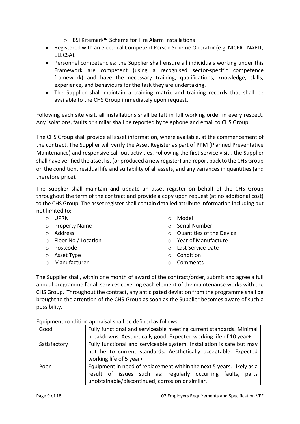- o BSI Kitemark™ Scheme for Fire Alarm Installations
- Registered with an electrical Competent Person Scheme Operator (e.g. NICEIC, NAPIT, ELECSA).
- Personnel competencies: the Supplier shall ensure all individuals working under this Framework are competent (using a recognised sector-specific competence framework) and have the necessary training, qualifications, knowledge, skills, experience, and behaviours for the task they are undertaking.
- The Supplier shall maintain a training matrix and training records that shall be available to the CHS Group immediately upon request.

Following each site visit, all installations shall be left in full working order in every respect. Any isolations, faults or similar shall be reported by telephone and email to CHS Group

The CHS Group shall provide all asset information, where available, at the commencement of the contract. The Supplier will verify the Asset Register as part of PPM (Planned Preventative Maintenance) and responsive call-out activities. Following the first service visit , the Supplier shall have verified the asset list (or produced a new register) and report back to the CHS Group on the condition, residual life and suitability of all assets, and any variances in quantities (and therefore price).

The Supplier shall maintain and update an asset register on behalf of the CHS Group throughout the term of the contract and provide a copy upon request (at no additional cost) to the CHS Group. The asset register shall contain detailed attribute information including but not limited to:

- o UPRN
- o Property Name
- o Address
- o Floor No / Location
- o Postcode
- o Asset Type
- o Manufacturer
- o Model
- o Serial Number
- o Quantities of the Device
- o Year of Manufacture
- o Last Service Date
- o Condition
- o Comments

The Supplier shall, within one month of award of the contract/order, submit and agree a full annual programme for all services covering each element of the maintenance works with the CHS Group. Throughout the contract, any anticipated deviation from the programme shall be brought to the attention of the CHS Group as soon as the Supplier becomes aware of such a possibility.

Equipment condition appraisal shall be defined as follows:

| Good         | Fully functional and serviceable meeting current standards. Minimal   |  |  |
|--------------|-----------------------------------------------------------------------|--|--|
|              | breakdowns. Aesthetically good. Expected working life of 10 year+     |  |  |
| Satisfactory | Fully functional and serviceable system. Installation is safe but may |  |  |
|              | not be to current standards. Aesthetically acceptable. Expected       |  |  |
|              | working life of 5 year+                                               |  |  |
| Poor         | Equipment in need of replacement within the next 5 years. Likely as a |  |  |
|              | result of issues such as: regularly occurring faults,<br>parts        |  |  |
|              | unobtainable/discontinued, corrosion or similar.                      |  |  |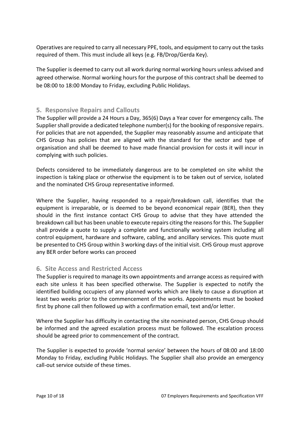Operatives are required to carry all necessary PPE, tools, and equipment to carry out the tasks required of them. This must include all keys (e.g. FB/Drop/Gerda Key).

The Supplier is deemed to carry out all work during normal working hours unless advised and agreed otherwise. Normal working hours for the purpose of this contract shall be deemed to be 08:00 to 18:00 Monday to Friday, excluding Public Holidays.

## <span id="page-9-0"></span>**5. Responsive Repairs and Callouts**

The Supplier will provide a 24 Hours a Day, 365(6) Days a Year cover for emergency calls. The Supplier shall provide a dedicated telephone number(s) for the booking of responsive repairs. For policies that are not appended, the Supplier may reasonably assume and anticipate that CHS Group has policies that are aligned with the standard for the sector and type of organisation and shall be deemed to have made financial provision for costs it will incur in complying with such policies.

Defects considered to be immediately dangerous are to be completed on site whilst the inspection is taking place or otherwise the equipment is to be taken out of service, isolated and the nominated CHS Group representative informed.

Where the Supplier, having responded to a repair/breakdown call, identifies that the equipment is irreparable, or is deemed to be beyond economical repair (BER), then they should in the first instance contact CHS Group to advise that they have attended the breakdown call but has been unable to execute repairs citing the reasons for this. The Supplier shall provide a quote to supply a complete and functionally working system including all control equipment, hardware and software, cabling, and ancillary services. This quote must be presented to CHS Group within 3 working days of the initial visit. CHS Group must approve any BER order before works can proceed

#### <span id="page-9-1"></span>**6. Site Access and Restricted Access**

The Supplier is required to manage its own appointments and arrange access as required with each site unless it has been specified otherwise. The Supplier is expected to notify the identified building occupiers of any planned works which are likely to cause a disruption at least two weeks prior to the commencement of the works. Appointments must be booked first by phone call then followed up with a confirmation email, text and/or letter.

Where the Supplier has difficulty in contacting the site nominated person, CHS Group should be informed and the agreed escalation process must be followed. The escalation process should be agreed prior to commencement of the contract.

The Supplier is expected to provide 'normal service' between the hours of 08:00 and 18:00 Monday to Friday, excluding Public Holidays. The Supplier shall also provide an emergency call-out service outside of these times.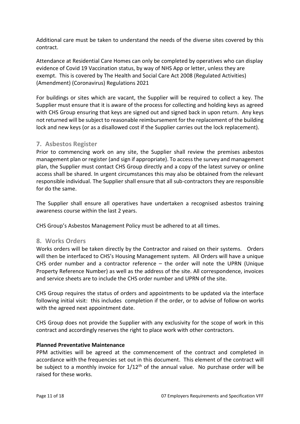Additional care must be taken to understand the needs of the diverse sites covered by this contract.

Attendance at Residential Care Homes can only be completed by operatives who can display evidence of Covid 19 Vaccination status, by way of NHS App or letter, unless they are exempt. This is covered by The Health and Social Care Act 2008 (Regulated Activities) (Amendment) (Coronavirus) Regulations 2021

For buildings or sites which are vacant, the Supplier will be required to collect a key. The Supplier must ensure that it is aware of the process for collecting and holding keys as agreed with CHS Group ensuring that keys are signed out and signed back in upon return. Any keys not returned will be subject to reasonable reimbursement for the replacement of the building lock and new keys (or as a disallowed cost if the Supplier carries out the lock replacement).

#### <span id="page-10-0"></span>**7. Asbestos Register**

Prior to commencing work on any site, the Supplier shall review the premises asbestos management plan or register (and sign if appropriate). To access the survey and management plan, the Supplier must contact CHS Group directly and a copy of the latest survey or online access shall be shared. In urgent circumstances this may also be obtained from the relevant responsible individual. The Supplier shall ensure that all sub-contractors they are responsible for do the same.

The Supplier shall ensure all operatives have undertaken a recognised asbestos training awareness course within the last 2 years.

CHS Group's Asbestos Management Policy must be adhered to at all times.

#### <span id="page-10-1"></span>**8. Works Orders**

Works orders will be taken directly by the Contractor and raised on their systems. Orders will then be interfaced to CHS's Housing Management system. All Orders will have a unique CHS order number and a contractor reference – the order will note the UPRN (Unique Property Reference Number) as well as the address of the site. All correspondence, invoices and service sheets are to include the CHS order number and UPRN of the site.

CHS Group requires the status of orders and appointments to be updated via the interface following initial visit: this includes completion if the order, or to advise of follow-on works with the agreed next appointment date.

CHS Group does not provide the Supplier with any exclusivity for the scope of work in this contract and accordingly reserves the right to place work with other contractors.

#### **Planned Preventative Maintenance**

PPM activities will be agreed at the commencement of the contract and completed in accordance with the frequencies set out in this document. This element of the contract will be subject to a monthly invoice for  $1/12<sup>th</sup>$  of the annual value. No purchase order will be raised for these works.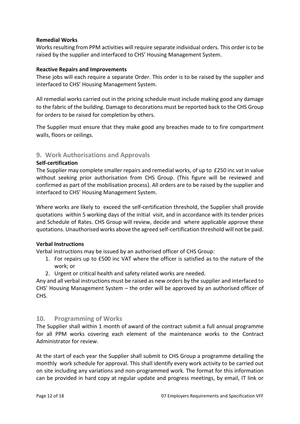#### **Remedial Works**

Works resulting from PPM activities will require separate individual orders. This order is to be raised by the supplier and interfaced to CHS' Housing Management System.

#### **Reactive Repairs and Improvements**

These jobs will each require a separate Order. This order is to be raised by the supplier and interfaced to CHS' Housing Management System.

All remedial works carried out in the pricing schedule must include making good any damage to the fabric of the building. Damage to decorations must be reported back to the CHS Group for orders to be raised for completion by others.

The Supplier must ensure that they make good any breaches made to to fire compartment walls, floors or ceilings.

#### <span id="page-11-0"></span>**9. Work Authorisations and Approvals**

#### **Self-certification**

The Supplier may complete smaller repairs and remedial works, of up to £250 inc vat in value without seeking prior authorisation from CHS Group. (This figure will be reviewed and confirmed as part of the mobilisation process). All orders are to be raised by the supplier and interfaced to CHS' Housing Management System.

Where works are likely to exceed the self-certification threshold, the Supplier shall provide quotations within 5 working days of the initial visit, and in accordance with its tender prices and Schedule of Rates. CHS Group will review, decide and where applicable approve these quotations. Unauthorised works above the agreed self-certification threshold will not be paid.

#### **Verbal Instructions**

Verbal instructions may be issued by an authorised officer of CHS Group:

- 1. For repairs up to £500 inc VAT where the officer is satisfied as to the nature of the work; or
- 2. Urgent or critical health and safety related works are needed.

Any and all verbal instructions must be raised as new orders by the supplier and interfaced to CHS' Housing Management System – the order will be approved by an authorised officer of CHS.

#### <span id="page-11-1"></span>**10. Programming of Works**

The Supplier shall within 1 month of award of the contract submit a full annual programme for all PPM works covering each element of the maintenance works to the Contract Administrator for review.

At the start of each year the Supplier shall submit to CHS Group a programme detailing the monthly work schedule for approval. This shall identify every work activity to be carried out on site including any variations and non-programmed work. The format for this information can be provided in hard copy at regular update and progress meetings, by email, IT link or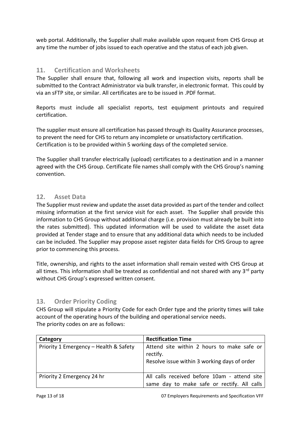web portal. Additionally, the Supplier shall make available upon request from CHS Group at any time the number of jobs issued to each operative and the status of each job given.

### <span id="page-12-0"></span>**11. Certification and Worksheets**

The Supplier shall ensure that, following all work and inspection visits, reports shall be submitted to the Contract Administrator via bulk transfer, in electronic format. This could by via an sFTP site, or similar. All certificates are to be issued in .PDF format.

Reports must include all specialist reports, test equipment printouts and required certification.

The supplier must ensure all certification has passed through its Quality Assurance processes, to prevent the need for CHS to return any incomplete or unsatisfactory certification. Certification is to be provided within 5 working days of the completed service.

The Supplier shall transfer electrically (upload) certificates to a destination and in a manner agreed with the CHS Group. Certificate file names shall comply with the CHS Group's naming convention.

#### <span id="page-12-1"></span>**12. Asset Data**

The Supplier must review and update the asset data provided as part of the tender and collect missing information at the first service visit for each asset. The Supplier shall provide this information to CHS Group without additional charge (i.e. provision must already be built into the rates submitted). This updated information will be used to validate the asset data provided at Tender stage and to ensure that any additional data which needs to be included can be included. The Supplier may propose asset register data fields for CHS Group to agree prior to commencing this process.

Title, ownership, and rights to the asset information shall remain vested with CHS Group at all times. This information shall be treated as confidential and not shared with any 3<sup>rd</sup> party without CHS Group's expressed written consent.

## <span id="page-12-2"></span>**13. Order Priority Coding**

CHS Group will stipulate a Priority Code for each Order type and the priority times will take account of the operating hours of the building and operational service needs. The priority codes on are as follows:

| Category                               | <b>Rectification Time</b>                                                                              |  |
|----------------------------------------|--------------------------------------------------------------------------------------------------------|--|
| Priority 1 Emergency - Health & Safety | Attend site within 2 hours to make safe or<br>rectify.<br>Resolve issue within 3 working days of order |  |
| Priority 2 Emergency 24 hr             | All calls received before 10am - attend site<br>same day to make safe or rectify. All calls            |  |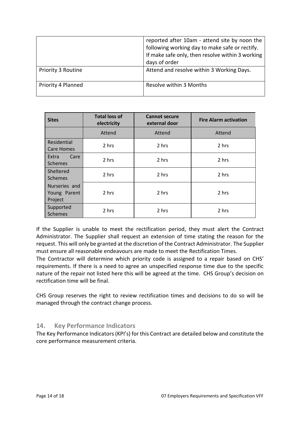|                    | reported after 10am - attend site by noon the<br>following working day to make safe or rectify.<br>If make safe only, then resolve within 3 working<br>days of order |
|--------------------|----------------------------------------------------------------------------------------------------------------------------------------------------------------------|
| Priority 3 Routine | Attend and resolve within 3 Working Days.                                                                                                                            |
| Priority 4 Planned | Resolve within 3 Months                                                                                                                                              |

| <b>Sites</b>                             | <b>Total loss of</b><br>electricity | <b>Cannot secure</b><br>external door | <b>Fire Alarm activation</b> |
|------------------------------------------|-------------------------------------|---------------------------------------|------------------------------|
|                                          | Attend                              | Attend                                | Attend                       |
| Residential<br><b>Care Homes</b>         | 2 hrs                               | 2 hrs                                 | 2 hrs                        |
| Extra<br>Care<br><b>Schemes</b>          | 2 hrs                               | 2 hrs                                 | 2 hrs                        |
| Sheltered<br>Schemes                     | 2 hrs                               | 2 hrs                                 | 2 hrs                        |
| Nurseries and<br>Young Parent<br>Project | 2 hrs                               | 2 hrs                                 | 2 hrs                        |
| Supported<br>Schemes                     | 2 hrs                               | 2 hrs                                 | 2 hrs                        |

If the Supplier is unable to meet the rectification period, they must alert the Contract Administrator. The Supplier shall request an extension of time stating the reason for the request. This will only be granted at the discretion of the Contract Administrator. The Supplier must ensure all reasonable endeavours are made to meet the Rectification Times.

The Contractor will determine which priority code is assigned to a repair based on CHS' requirements. If there is a need to agree an unspecified response time due to the specific nature of the repair not listed here this will be agreed at the time. CHS Group's decision on rectification time will be final.

CHS Group reserves the right to review rectification times and decisions to do so will be managed through the contract change process.

## <span id="page-13-0"></span>**14. Key Performance Indicators**

The Key Performance Indicators (KPI's) for this Contract are detailed below and constitute the core performance measurement criteria.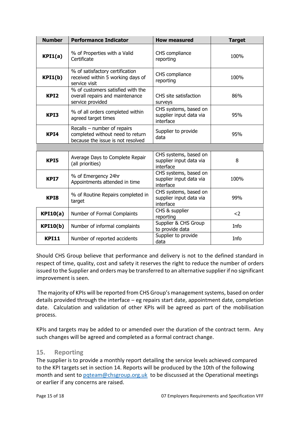| <b>Number</b>     | <b>Performance Indicator</b>                                                                                         | <b>How measured</b>                                           | <b>Target</b> |
|-------------------|----------------------------------------------------------------------------------------------------------------------|---------------------------------------------------------------|---------------|
| KPI1(a)           | % of Properties with a Valid<br>Certificate                                                                          | CHS compliance<br>reporting                                   | 100%          |
| KPI1(b)           | % of satisfactory certification<br>CHS compliance<br>received within 5 working days of<br>reporting<br>service visit |                                                               | 100%          |
| KPI <sub>2</sub>  | % of customers satisfied with the<br>overall repairs and maintenance<br>service provided                             | CHS site satisfaction<br>surveys                              | 86%           |
| KPI3              | % of all orders completed within<br>agreed target times                                                              | CHS systems, based on<br>supplier input data via<br>interface | 95%           |
| KPI4              | Recalls - number of repairs<br>completed without need to return<br>because the issue is not resolved                 | Supplier to provide<br>data                                   | 95%           |
|                   |                                                                                                                      |                                                               |               |
| KPI5              | Average Days to Complete Repair<br>(all priorities)                                                                  | CHS systems, based on<br>supplier input data via<br>interface | 8             |
| KPI7              | % of Emergency 24hr<br>Appointments attended in time                                                                 | CHS systems, based on<br>supplier input data via<br>interface | 100%          |
| KP <sub>I</sub> 8 | % of Routine Repairs completed in<br>target                                                                          | CHS systems, based on<br>supplier input data via<br>interface | 99%           |
| KPI10(a)          | Number of Formal Complaints                                                                                          | CHS & supplier<br>reporting                                   | $2$           |
| <b>KPI10(b)</b>   | Number of informal complaints                                                                                        | Supplier & CHS Group<br>to provide data                       | Info          |
| <b>KPI11</b>      | Number of reported accidents                                                                                         | Supplier to provide<br>data                                   | Info          |

Should CHS Group believe that performance and delivery is not to the defined standard in respect of time, quality, cost and safety it reserves the right to reduce the number of orders issued to the Supplier and orders may be transferred to an alternative supplier if no significant improvement is seen.

The majority of KPIs will be reported from CHS Group's management systems, based on order details provided through the interface – eg repairs start date, appointment date, completion date. Calculation and validation of other KPIs will be agreed as part of the mobilisation process.

KPIs and targets may be added to or amended over the duration of the contract term. Any such changes will be agreed and completed as a formal contract change.

#### <span id="page-14-0"></span>**15. Reporting**

The supplier is to provide a monthly report detailing the service levels achieved compared to the KPI targets set in section 14. Reports will be produced by the 10th of the following month and sent to pateam@chsgroup.org.uk to be discussed at the Operational meetings or earlier if any concerns are raised.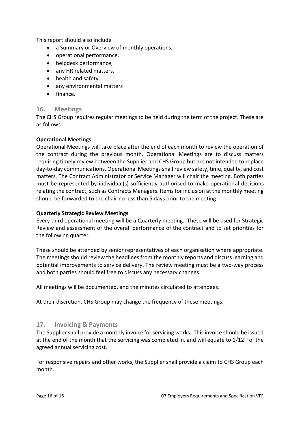This report should also include

- a Summary or Overview of monthly operations,
- operational performance,
- helpdesk performance,
- any HR related matters,
- health and safety,
- any environmental matters
- finance.

#### <span id="page-15-0"></span>**16. Meetings**

The CHS Group requires regular meetings to be held during the term of the project. These are as follows:

#### **Operational Meetings**

Operational Meetings will take place after the end of each month to review the operation of the contract during the previous month. Operational Meetings are to discuss matters requiring timely review between the Supplier and CHS Group but are not intended to replace day-to-day communications. Operational Meetings shall review safety, time, quality, and cost matters. The Contract Administrator or Service Manager will chair the meeting. Both parties must be represented by individual(s) sufficiently authorised to make operational decisions relating the contract, such as Contracts Managers. Items for inclusion at the monthly meeting should be forwarded to the chair no less than 5 days prior to the meeting.

#### **Quarterly Strategic Review Meetings**

Every third operational meeting will be a Quarterly meeting. These will be used for Strategic Review and assessment of the overall performance of the contract and to set priorities for the following quarter.

These should be attended by senior representatives of each organisation where appropriate. The meetings should review the headlines from the monthly reports and discuss learning and potential improvements to service delivery. The review meeting must be a two-way process and both parties should feel free to discuss any necessary changes.

All meetings will be documented, and the minutes circulated to attendees.

At their discretion, CHS Group may change the frequency of these meetings.

#### <span id="page-15-1"></span>**17. Invoicing & Payments**

The Supplier shall provide a monthly invoice for servicing works. This invoice should be issued at the end of the month that the servicing was completed in, and will equate to  $1/12<sup>th</sup>$  of the agreed annual servicing cost.

For responsive repairs and other works, the Supplier shall provide a claim to CHS Group each month.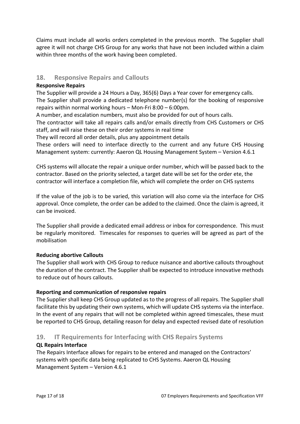Claims must include all works orders completed in the previous month. The Supplier shall agree it will not charge CHS Group for any works that have not been included within a claim within three months of the work having been completed.

## <span id="page-16-0"></span>**18. Responsive Repairs and Callouts**

#### **Responsive Repairs**

The Supplier will provide a 24 Hours a Day, 365(6) Days a Year cover for emergency calls. The Supplier shall provide a dedicated telephone number(s) for the booking of responsive repairs within normal working hours – Mon-Fri 8:00 – 6:00pm.

A number, and escalation numbers, must also be provided for out of hours calls.

The contractor will take all repairs calls and/or emails directly from CHS Customers or CHS staff, and will raise these on their order systems in real time

They will record all order details, plus any appointment details

These orders will need to interface directly to the current and any future CHS Housing Management system: currently: Aaeron QL Housing Management System – Version 4.6.1

CHS systems will allocate the repair a unique order number, which will be passed back to the contractor. Based on the priority selected, a target date will be set for the order ete, the contractor will interface a completion file, which will complete the order on CHS systems

If the value of the job is to be varied, this variation will also come via the interface for CHS approval. Once complete, the order can be added to the claimed. Once the claim is agreed, it can be invoiced.

The Supplier shall provide a dedicated email address or inbox for correspondence. This must be regularly monitored. Timescales for responses to queries will be agreed as part of the mobilisation

#### **Reducing abortive Callouts**

The Supplier shall work with CHS Group to reduce nuisance and abortive callouts throughout the duration of the contract. The Supplier shall be expected to introduce innovative methods to reduce out of hours callouts.

#### **Reporting and communication of responsive repairs**

The Supplier shall keep CHS Group updated as to the progress of all repairs. The Supplier shall facilitate this by updating their own systems, which will update CHS systems via the interface. In the event of any repairs that will not be completed within agreed timescales, these must be reported to CHS Group, detailing reason for delay and expected revised date of resolution

#### <span id="page-16-1"></span>**19. IT Requirements for Interfacing with CHS Repairs Systems**

#### **QL Repairs Interface**

The Repairs Interface allows for repairs to be entered and managed on the Contractors' systems with specific data being replicated to CHS Systems. Aaeron QL Housing Management System – Version 4.6.1